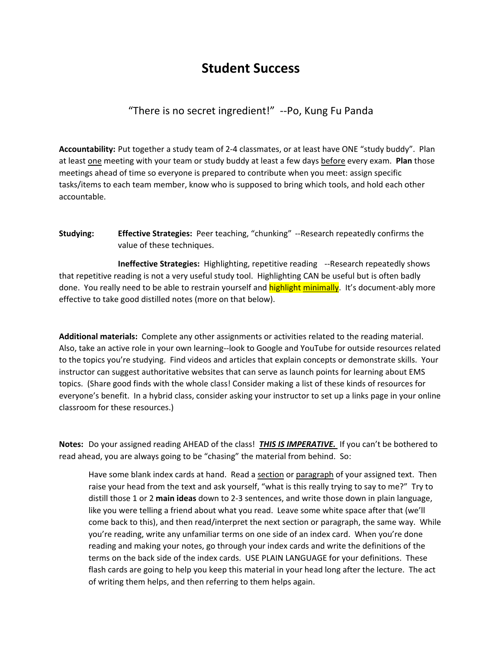## **Student Success**

## "There is no secret ingredient!" ‐‐Po, Kung Fu Panda

**Accountability:** Put together a study team of 2‐4 classmates, or at least have ONE "study buddy". Plan at least one meeting with your team or study buddy at least a few days before every exam. **Plan** those meetings ahead of time so everyone is prepared to contribute when you meet: assign specific tasks/items to each team member, know who is supposed to bring which tools, and hold each other accountable.

**Studying: Effective Strategies:** Peer teaching, "chunking" ‐‐Research repeatedly confirms the value of these techniques.

 **Ineffective Strategies:** Highlighting, repetitive reading ‐‐Research repeatedly shows that repetitive reading is not a very useful study tool. Highlighting CAN be useful but is often badly done. You really need to be able to restrain yourself and highlight minimally. It's document-ably more effective to take good distilled notes (more on that below).

**Additional materials:** Complete any other assignments or activities related to the reading material. Also, take an active role in your own learning‐‐look to Google and YouTube for outside resources related to the topics you're studying. Find videos and articles that explain concepts or demonstrate skills. Your instructor can suggest authoritative websites that can serve as launch points for learning about EMS topics. (Share good finds with the whole class! Consider making a list of these kinds of resources for everyone's benefit. In a hybrid class, consider asking your instructor to set up a links page in your online classroom for these resources.)

**Notes:** Do your assigned reading AHEAD of the class! *THIS IS IMPERATIVE.* If you can't be bothered to read ahead, you are always going to be "chasing" the material from behind. So:

Have some blank index cards at hand. Read a section or paragraph of your assigned text. Then raise your head from the text and ask yourself, "what is this really trying to say to me?" Try to distill those 1 or 2 **main ideas** down to 2‐3 sentences, and write those down in plain language, like you were telling a friend about what you read. Leave some white space after that (we'll come back to this), and then read/interpret the next section or paragraph, the same way. While you're reading, write any unfamiliar terms on one side of an index card. When you're done reading and making your notes, go through your index cards and write the definitions of the terms on the back side of the index cards. USE PLAIN LANGUAGE for your definitions. These flash cards are going to help you keep this material in your head long after the lecture. The act of writing them helps, and then referring to them helps again.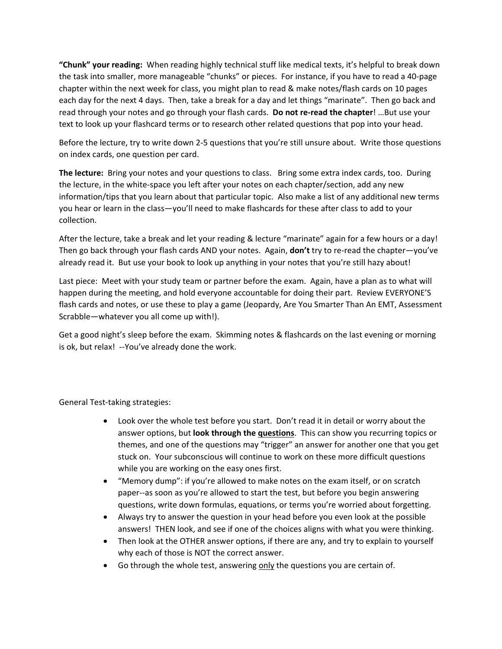**"Chunk" your reading:** When reading highly technical stuff like medical texts, it's helpful to break down the task into smaller, more manageable "chunks" or pieces. For instance, if you have to read a 40‐page chapter within the next week for class, you might plan to read & make notes/flash cards on 10 pages each day for the next 4 days. Then, take a break for a day and let things "marinate". Then go back and read through your notes and go through your flash cards. **Do not re‐read the chapter**! …But use your text to look up your flashcard terms or to research other related questions that pop into your head.

Before the lecture, try to write down 2‐5 questions that you're still unsure about. Write those questions on index cards, one question per card.

**The lecture:** Bring your notes and your questions to class. Bring some extra index cards, too. During the lecture, in the white‐space you left after your notes on each chapter/section, add any new information/tips that you learn about that particular topic. Also make a list of any additional new terms you hear or learn in the class—you'll need to make flashcards for these after class to add to your collection.

After the lecture, take a break and let your reading & lecture "marinate" again for a few hours or a day! Then go back through your flash cards AND your notes. Again, **don't** try to re‐read the chapter—you've already read it. But use your book to look up anything in your notes that you're still hazy about!

Last piece: Meet with your study team or partner before the exam. Again, have a plan as to what will happen during the meeting, and hold everyone accountable for doing their part. Review EVERYONE'S flash cards and notes, or use these to play a game (Jeopardy, Are You Smarter Than An EMT, Assessment Scrabble—whatever you all come up with!).

Get a good night's sleep before the exam. Skimming notes & flashcards on the last evening or morning is ok, but relax! ‐‐You've already done the work.

## General Test‐taking strategies:

- Look over the whole test before you start. Don't read it in detail or worry about the answer options, but **look through the questions**. This can show you recurring topics or themes, and one of the questions may "trigger" an answer for another one that you get stuck on. Your subconscious will continue to work on these more difficult questions while you are working on the easy ones first.
- "Memory dump": if you're allowed to make notes on the exam itself, or on scratch paper‐‐as soon as you're allowed to start the test, but before you begin answering questions, write down formulas, equations, or terms you're worried about forgetting.
- Always try to answer the question in your head before you even look at the possible answers! THEN look, and see if one of the choices aligns with what you were thinking.
- Then look at the OTHER answer options, if there are any, and try to explain to yourself why each of those is NOT the correct answer.
- Go through the whole test, answering only the questions you are certain of.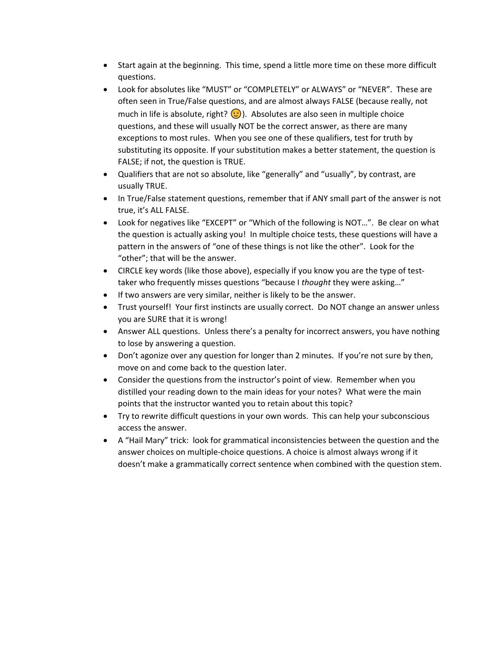- Start again at the beginning. This time, spend a little more time on these more difficult questions.
- Look for absolutes like "MUST" or "COMPLETELY" or ALWAYS" or "NEVER". These are often seen in True/False questions, and are almost always FALSE (because really, not much in life is absolute, right?  $\odot$ ). Absolutes are also seen in multiple choice questions, and these will usually NOT be the correct answer, as there are many exceptions to most rules. When you see one of these qualifiers, test for truth by substituting its opposite. If your substitution makes a better statement, the question is FALSE; if not, the question is TRUE.
- Qualifiers that are not so absolute, like "generally" and "usually", by contrast, are usually TRUE.
- In True/False statement questions, remember that if ANY small part of the answer is not true, it's ALL FALSE.
- Look for negatives like "EXCEPT" or "Which of the following is NOT…". Be clear on what the question is actually asking you! In multiple choice tests, these questions will have a pattern in the answers of "one of these things is not like the other". Look for the "other"; that will be the answer.
- CIRCLE key words (like those above), especially if you know you are the type of testtaker who frequently misses questions "because I *thought* they were asking…"
- If two answers are very similar, neither is likely to be the answer.
- Trust yourself! Your first instincts are usually correct. Do NOT change an answer unless you are SURE that it is wrong!
- Answer ALL questions. Unless there's a penalty for incorrect answers, you have nothing to lose by answering a question.
- Don't agonize over any question for longer than 2 minutes. If you're not sure by then, move on and come back to the question later.
- Consider the questions from the instructor's point of view. Remember when you distilled your reading down to the main ideas for your notes? What were the main points that the instructor wanted you to retain about this topic?
- Try to rewrite difficult questions in your own words. This can help your subconscious access the answer.
- A "Hail Mary" trick: look for grammatical inconsistencies between the question and the answer choices on multiple‐choice questions. A choice is almost always wrong if it doesn't make a grammatically correct sentence when combined with the question stem.